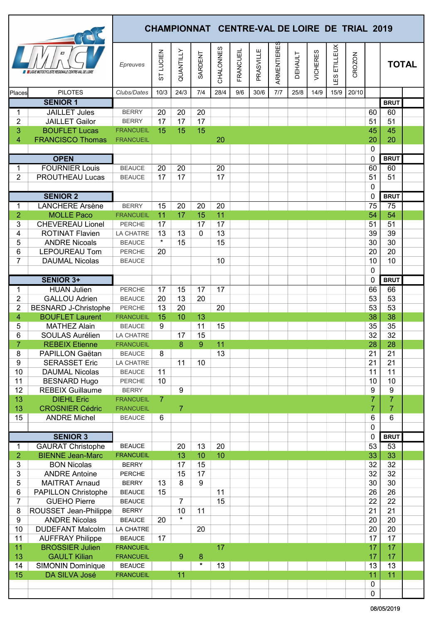|                     |                                                   |                               |                |                |              |           |           | <b>CHAMPIONNAT CENTRE-VAL DE LOIRE DE TRIAL 2019</b> |             |                |                 |                |        |                            |                 |              |
|---------------------|---------------------------------------------------|-------------------------------|----------------|----------------|--------------|-----------|-----------|------------------------------------------------------|-------------|----------------|-----------------|----------------|--------|----------------------------|-----------------|--------------|
|                     | OCYCLISTE REGIONALE CENTRE-VAL DE LOIRE           | Epreuves                      | LUCIEN<br>55   | QUANTILLY      | SARDENT      | CHALONNES | FRANCUEIL | PRASVILLE                                            | ARMENTIERES | <b>DEHAULT</b> | <b>VICHERES</b> | ETILLEUX<br>63 | CROZON |                            |                 | <b>TOTAL</b> |
| Places              | <b>PILOTES</b>                                    | Clubs/Dates                   | 10/3           | 24/3           | 7/4          | 28/4      | 9/6       | 30/6                                                 | 7/7         | 25/8           | 14/9            | 15/9           | 20/10  |                            |                 |              |
|                     | <b>SENIOR 1</b>                                   |                               |                |                |              |           |           |                                                      |             |                |                 |                |        |                            | <b>BRUT</b>     |              |
| 1                   | <b>JAILLET Jules</b>                              | <b>BERRY</b>                  | 20             | 20             | 20           |           |           |                                                      |             |                |                 |                |        | 60                         | 60              |              |
| $\overline{c}$      | <b>JAILLET Gailor</b>                             | <b>BERRY</b>                  | 17             | 17             | 17           |           |           |                                                      |             |                |                 |                |        | 51                         | 51              |              |
| 3                   | <b>BOUFLET Lucas</b>                              | <b>FRANCUEIL</b>              | 15             | 15             | 15           |           |           |                                                      |             |                |                 |                |        | 45                         | 45              |              |
| 4                   | <b>FRANCISCO Thomas</b>                           | <b>FRANCUEIL</b>              |                |                |              | 20        |           |                                                      |             |                |                 |                |        | 20<br>$\mathbf 0$          | 20              |              |
|                     | <b>OPEN</b>                                       |                               |                |                |              |           |           |                                                      |             |                |                 |                |        | $\mathbf 0$                | <b>BRUT</b>     |              |
| 1                   | <b>FOURNIER Louis</b>                             | <b>BEAUCE</b>                 | 20             | 20             |              | 20        |           |                                                      |             |                |                 |                |        | 60                         | 60              |              |
| 2                   | PROUTHEAU Lucas                                   | <b>BEAUCE</b>                 | 17             | 17             |              | 17        |           |                                                      |             |                |                 |                |        | 51                         | 51              |              |
|                     |                                                   |                               |                |                |              |           |           |                                                      |             |                |                 |                |        | $\pmb{0}$                  |                 |              |
|                     | <b>SENIOR 2</b>                                   |                               |                |                |              |           |           |                                                      |             |                |                 |                |        | 0                          | <b>BRUT</b>     |              |
| 1                   | <b>LANCHERE Arsène</b>                            | <b>BERRY</b>                  | 15             | 20             | 20           | 20        |           |                                                      |             |                |                 |                |        | 75                         | $\overline{75}$ |              |
| $\overline{2}$      | <b>MOLLE Paco</b>                                 | <b>FRANCUEIL</b>              | 11             | 17             | 15           | 11        |           |                                                      |             |                |                 |                |        | 54                         | 54              |              |
| 3                   | <b>CHEVEREAU Lionel</b>                           | PERCHE                        | 17             |                | 17           | 17        |           |                                                      |             |                |                 |                |        | 51                         | 51              |              |
| 4                   | <b>ROTINAT Flavien</b>                            | LA CHATRE                     | 13             | 13             | $\mathbf{0}$ | 13        |           |                                                      |             |                |                 |                |        | 39                         | 39              |              |
| 5                   | <b>ANDRE Nicoals</b>                              | <b>BEAUCE</b>                 | $\star$        | 15             |              | 15        |           |                                                      |             |                |                 |                |        | 30                         | 30              |              |
| 6                   | <b>LEPOUREAU Tom</b>                              | PERCHE                        | 20             |                |              |           |           |                                                      |             |                |                 |                |        | 20                         | 20              |              |
| $\overline{7}$      | <b>DAUMAL Nicolas</b>                             | <b>BEAUCE</b>                 |                |                |              | 10        |           |                                                      |             |                |                 |                |        | 10                         | 10              |              |
|                     | <b>SENIOR 3+</b>                                  |                               |                |                |              |           |           |                                                      |             |                |                 |                |        | $\mathbf 0$<br>$\mathbf 0$ | <b>BRUT</b>     |              |
| 1                   | <b>HUAN Julien</b>                                | PERCHE                        | 17             | 15             | 17           | 17        |           |                                                      |             |                |                 |                |        | 66                         | 66              |              |
| $\overline{c}$      | <b>GALLOU Adrien</b>                              | <b>BEAUCE</b>                 | 20             | 13             | 20           |           |           |                                                      |             |                |                 |                |        | 53                         | 53              |              |
| $\overline{2}$      | <b>BESNARD J-Christophe</b>                       | PERCHE                        | 13             | 20             |              | 20        |           |                                                      |             |                |                 |                |        | 53                         | 53              |              |
| 4                   | <b>BOUFLET Laurent</b>                            | <b>FRANCUEIL</b>              | 15             | 10             | 13           |           |           |                                                      |             |                |                 |                |        | 38                         | 38              |              |
| 5                   | <b>MATHEZ Alain</b>                               | <b>BEAUCE</b>                 | 9              |                | 11           | 15        |           |                                                      |             |                |                 |                |        | 35                         | 35              |              |
| 6                   | SOULAS Aurélien                                   | LA CHATRE                     |                | 17             | 15           |           |           |                                                      |             |                |                 |                |        | $\overline{32}$            | 32              |              |
| $\overline{7}$      | <b>REBEIX Etienne</b>                             | <b>FRANCUEIL</b>              |                | 8              | $\mathbf{Q}$ | 11        |           |                                                      |             |                |                 |                |        | 28                         | 28              |              |
| 8                   | PAPILLON Gaëtan                                   | <b>BEAUCE</b>                 | 8              |                |              | 13        |           |                                                      |             |                |                 |                |        | 21                         | 21              |              |
| 9                   | <b>SERASSET Eric</b>                              | LA CHATRE                     |                | 11             | 10           |           |           |                                                      |             |                |                 |                |        | 21                         | 21              |              |
| 10                  | <b>DAUMAL Nicolas</b>                             | <b>BEAUCE</b>                 | 11             |                |              |           |           |                                                      |             |                |                 |                |        | 11                         | 11              |              |
| 11<br>12            | <b>BESNARD Hugo</b><br><b>REBEIX Guillaume</b>    | PERCHE<br><b>BERRY</b>        | 10             | 9              |              |           |           |                                                      |             |                |                 |                |        | 10<br>$\boldsymbol{9}$     | 10<br>9         |              |
| 13                  | <b>DIEHL Eric</b>                                 | <b>FRANCUEIL</b>              | $\overline{7}$ |                |              |           |           |                                                      |             |                |                 |                |        | 7                          | 7               |              |
| 13                  | <b>CROSNIER Cédric</b>                            | <b>FRANCUEIL</b>              |                | $\overline{7}$ |              |           |           |                                                      |             |                |                 |                |        | $\overline{7}$             | $\overline{7}$  |              |
| 15                  | <b>ANDRE Michel</b>                               | <b>BEAUCE</b>                 | 6              |                |              |           |           |                                                      |             |                |                 |                |        | 6                          | 6               |              |
|                     |                                                   |                               |                |                |              |           |           |                                                      |             |                |                 |                |        | $\pmb{0}$                  |                 |              |
|                     | <b>SENIOR 3</b>                                   |                               |                |                |              |           |           |                                                      |             |                |                 |                |        | $\mathbf 0$                | <b>BRUT</b>     |              |
| 1                   | <b>GAURAT Christophe</b>                          | <b>BEAUCE</b>                 |                | 20             | 13           | 20        |           |                                                      |             |                |                 |                |        | 53                         | $\overline{53}$ |              |
| $\overline{2}$      | <b>BIENNE Jean-Marc</b>                           | <b>FRANCUEIL</b>              |                | 13             | 10           | 10        |           |                                                      |             |                |                 |                |        | 33                         | 33              |              |
| 3                   | <b>BON Nicolas</b>                                | <b>BERRY</b>                  |                | 17             | 15           |           |           |                                                      |             |                |                 |                |        | 32                         | 32              |              |
| 3                   | <b>ANDRE Antoine</b>                              | PERCHE                        |                | 15             | 17           |           |           |                                                      |             |                |                 |                |        | 32                         | 32              |              |
| 5                   | <b>MAITRAT Arnaud</b>                             | <b>BERRY</b><br><b>BEAUCE</b> | 13<br>15       | 8              | 9            | 11        |           |                                                      |             |                |                 |                |        | 30<br>26                   | 30<br>26        |              |
| 6<br>$\overline{7}$ | <b>PAPILLON Christophe</b><br><b>GUEHO Pierre</b> | <b>BEAUCE</b>                 |                | $\overline{7}$ |              | 15        |           |                                                      |             |                |                 |                |        | 22                         | 22              |              |
| 8                   | ROUSSET Jean-Philippe                             | <b>BERRY</b>                  |                | 10             | 11           |           |           |                                                      |             |                |                 |                |        | 21                         | 21              |              |
| 9                   | <b>ANDRE Nicolas</b>                              | <b>BEAUCE</b>                 | 20             | $\star$        |              |           |           |                                                      |             |                |                 |                |        | 20                         | 20              |              |
| 10                  | <b>DUDEFANT Malcolm</b>                           | LA CHATRE                     |                |                | 20           |           |           |                                                      |             |                |                 |                |        | 20                         | 20              |              |
| 11                  | <b>AUFFRAY Philippe</b>                           | <b>BEAUCE</b>                 | 17             |                |              |           |           |                                                      |             |                |                 |                |        | 17                         | 17              |              |
| 11                  | <b>BROSSIER Julien</b>                            | <b>FRANCUEIL</b>              |                |                |              | 17        |           |                                                      |             |                |                 |                |        | 17                         | 17              |              |
| 13                  | <b>GAULT Kilian</b>                               | <b>FRANCUEIL</b>              |                | $\overline{9}$ | $\bf 8$      |           |           |                                                      |             |                |                 |                |        | 17                         | 17              |              |
| 14                  | <b>SIMONIN Dominique</b>                          | <b>BEAUCE</b>                 |                |                | $\star$      | 13        |           |                                                      |             |                |                 |                |        | 13                         | 13              |              |
| 15                  | DA SILVA José                                     | <b>FRANCUEIL</b>              |                | 11             |              |           |           |                                                      |             |                |                 |                |        | 11                         | 11              |              |
|                     |                                                   |                               |                |                |              |           |           |                                                      |             |                |                 |                |        | $\pmb{0}$                  |                 |              |
|                     |                                                   |                               |                |                |              |           |           |                                                      |             |                |                 |                |        | 0                          |                 |              |